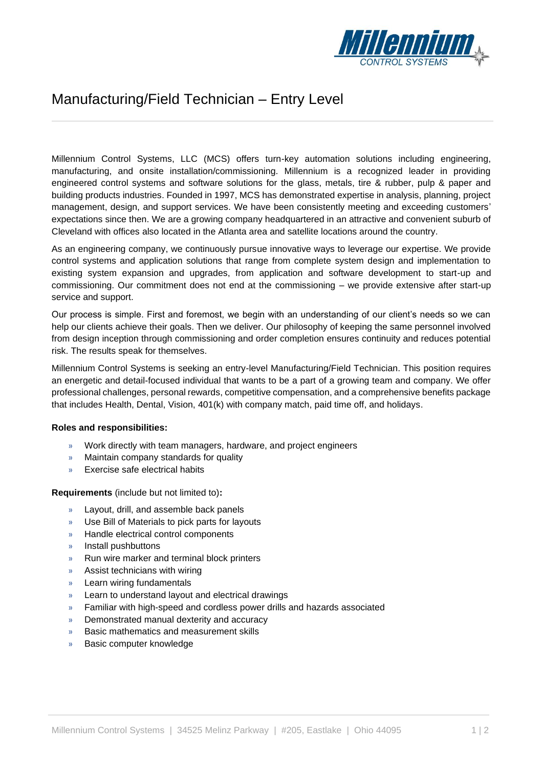

## Manufacturing/Field Technician – Entry Level

Millennium Control Systems, LLC (MCS) offers turn-key automation solutions including engineering, manufacturing, and onsite installation/commissioning. Millennium is a recognized leader in providing engineered control systems and software solutions for the glass, metals, tire & rubber, pulp & paper and building products industries. Founded in 1997, MCS has demonstrated expertise in analysis, planning, project management, design, and support services. We have been consistently meeting and exceeding customers' expectations since then. We are a growing company headquartered in an attractive and convenient suburb of Cleveland with offices also located in the Atlanta area and satellite locations around the country.

As an engineering company, we continuously pursue innovative ways to leverage our expertise. We provide control systems and application solutions that range from complete system design and implementation to existing system expansion and upgrades, from application and software development to start-up and commissioning. Our commitment does not end at the commissioning – we provide extensive after start-up service and support.

Our process is simple. First and foremost, we begin with an understanding of our client's needs so we can help our clients achieve their goals. Then we deliver. Our philosophy of keeping the same personnel involved from design inception through commissioning and order completion ensures continuity and reduces potential risk. The results speak for themselves.

Millennium Control Systems is seeking an entry-level Manufacturing/Field Technician. This position requires an energetic and detail-focused individual that wants to be a part of a growing team and company. We offer professional challenges, personal rewards, competitive compensation, and a comprehensive benefits package that includes Health, Dental, Vision, 401(k) with company match, paid time off, and holidays.

## **Roles and responsibilities:**

- » Work directly with team managers, hardware, and project engineers
- » Maintain company standards for quality
- » Exercise safe electrical habits

**Requirements** (include but not limited to)**:**

- » Layout, drill, and assemble back panels
- » Use Bill of Materials to pick parts for layouts
- » Handle electrical control components
- » Install pushbuttons
- » Run wire marker and terminal block printers
- » Assist technicians with wiring
- » Learn wiring fundamentals
- » Learn to understand layout and electrical drawings
- » Familiar with high-speed and cordless power drills and hazards associated
- » Demonstrated manual dexterity and accuracy
- » Basic mathematics and measurement skills
- » Basic computer knowledge